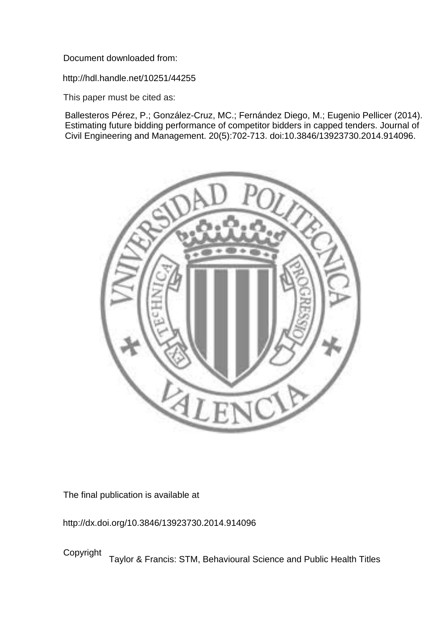Document downloaded from:

http://hdl.handle.net/10251/44255

This paper must be cited as:

Ballesteros Pérez, P.; González-Cruz, MC.; Fernández Diego, M.; Eugenio Pellicer (2014). Estimating future bidding performance of competitor bidders in capped tenders. Journal of Civil Engineering and Management. 20(5):702-713. doi:10.3846/13923730.2014.914096.



The final publication is available at

http://dx.doi.org/10.3846/13923730.2014.914096

Copyright Taylor & Francis: STM, Behavioural Science and Public Health Titles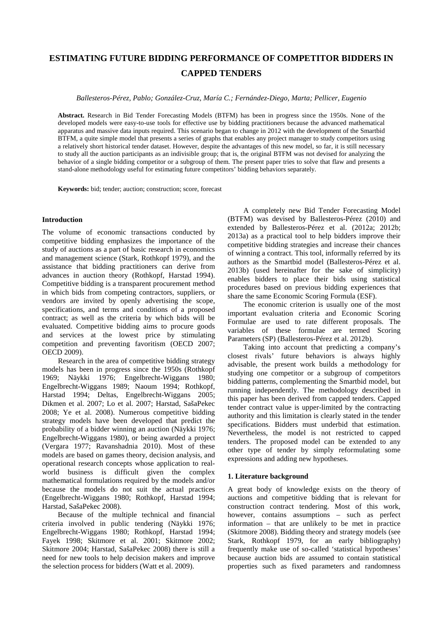# **ESTIMATING FUTURE BIDDING PERFORMANCE OF COMPETITOR BIDDERS IN CAPPED TENDERS**

*Ballesteros-Pérez, Pablo; González-Cruz, María C.; Fernández-Diego, Marta; Pellicer, Eugenio*

**Abstract.** Research in Bid Tender Forecasting Models (BTFM) has been in progress since the 1950s. None of the developed models were easy-to-use tools for effective use by bidding practitioners because the advanced mathematical apparatus and massive data inputs required. This scenario began to change in 2012 with the development of the Smartbid BTFM, a quite simple model that presents a series of graphs that enables any project manager to study competitors using a relatively short historical tender dataset. However, despite the advantages of this new model, so far, it is still necessary to study all the auction participants as an indivisible group; that is, the original BTFM was not devised for analyzing the behavior of a single bidding competitor or a subgroup of them. The present paper tries to solve that flaw and presents a stand-alone methodology useful for estimating future competitors' bidding behaviors separately.

**Keywords:** bid; tender; auction; construction; score, forecast

### **Introduction**

The volume of economic transactions conducted by competitive bidding emphasizes the importance of the study of auctions as a part of basic research in economics and management science (Stark, Rothkopf 1979), and the assistance that bidding practitioners can derive from advances in auction theory (Rothkopf, Harstad 1994). Competitive bidding is a [transparent](http://www.businessdictionary.com/definition/transparent.html) [procurement](http://www.businessdictionary.com/definition/procurement.html) [method](http://www.businessdictionary.com/definition/method.html) in which [bids](http://www.businessdictionary.com/definition/bid.html) from [competing](http://www.businessdictionary.com/definition/competing.html) [contractors,](http://www.businessdictionary.com/definition/contractor.html) [suppliers,](http://www.businessdictionary.com/definition/supplier.html) or [vendors](http://www.businessdictionary.com/definition/vendor.html) are invited by openly [advertising](http://www.businessdictionary.com/definition/advertising.html) the [scope,](http://www.businessdictionary.com/definition/scope.html) [specifications,](http://www.businessdictionary.com/definition/specification-spec.html) and [terms and conditions](http://www.businessdictionary.com/definition/terms-and-conditions.html) of a proposed [contract;](http://www.businessdictionary.com/definition/contract.html) as well as the [criteria](http://www.businessdictionary.com/definition/criteria.html) by which bids will be evaluated. [Competitive](http://www.investorwords.com/997/competitive.html) [bidding](http://www.investorwords.com/8993/bidding.html) [aims](http://www.businessdictionary.com/definition/aim.html) to procure [goods](http://www.businessdictionary.com/definition/goods.html) and [services](http://www.businessdictionary.com/definition/services.html) at the lowest [price](http://www.businessdictionary.com/definition/price.html) by stimulating [competition](http://www.businessdictionary.com/definition/competition.html) and preventing favoritism (OECD 2007; OECD 2009).

Research in the area of competitive bidding strategy models has been in progress since the 1950s (Rothkopf 1969; Näykki 1976; Engelbrecht-Wiggans 1980; Engelbrecht-Wiggans 1989; Naoum 1994; Rothkopf, Harstad 1994; Deltas, Engelbrecht-Wiggans 2005; Dikmen et al. 2007; Lo et al. 2007; Harstad, SašaPekec 2008; Ye et al. 2008). Numerous competitive bidding strategy models have been developed that predict the probability of a bidder winning an auction (Näykki 1976; Engelbrecht-Wiggans 1980), or being awarded a project (Vergara 1977; Ravanshadnia 2010). Most of these models are based on games theory, decision analysis, and operational research concepts whose application to realworld business is difficult given the complex mathematical formulations required by the models and/or because the models do not suit the actual practices (Engelbrecht-Wiggans 1980; Rothkopf, Harstad 1994; Harstad, SašaPekec 2008).

Because of the multiple technical and financial criteria involved in public tendering (Näykki 1976; Engelbrecht-Wiggans 1980; Rothkopf, Harstad 1994; Fayek 1998; Skitmore et al. 2001; Skitmore 2002; Skitmore 2004; Harstad, SašaPekec 2008) there is still a need for new tools to help decision makers and improve the selection process for bidders (Watt et al. 2009).

A completely new Bid Tender Forecasting Model (BTFM) was devised by Ballesteros-Pérez (2010) and extended by Ballesteros-Pérez et al. (2012a; 2012b; 2013a) as a practical tool to help bidders improve their competitive bidding strategies and increase their chances of winning a contract. This tool, informally referred by its authors as the Smartbid model (Ballesteros-Pérez et al. 2013b) (used hereinafter for the sake of simplicity) enables bidders to place their bids using statistical procedures based on previous bidding experiences that share the same Economic Scoring Formula (ESF).

The economic criterion is usually one of the most important evaluation criteria and Economic Scoring Formulae are used to rate different proposals. The variables of these formulae are termed Scoring Parameters (SP) (Ballesteros-Pérez et al. 2012b).

Taking into account that predicting a company's closest rivals' future behaviors is always highly advisable, the present work builds a methodology for studying one competitor or a subgroup of competitors bidding patterns, complementing the Smartbid model, but running independently. The methodology described in this paper has been derived from capped tenders. Capped tender contract value is upper-limited by the contracting authority and this limitation is clearly stated in the tender specifications. Bidders must underbid that estimation. Nevertheless, the model is not restricted to capped tenders. The proposed model can be extended to any other type of tender by simply reformulating some expressions and adding new hypotheses.

## **1. Literature background**

A great body of knowledge exists on the theory of auctions and competitive bidding that is relevant for construction contract tendering. Most of this work, however, contains assumptions – such as perfect information – that are unlikely to be met in practice (Skitmore 2008). Bidding theory and strategy models (see Stark, Rothkopf 1979, for an early bibliography) frequently make use of so-called 'statistical hypotheses' because auction bids are assumed to contain statistical properties such as fixed parameters and randomness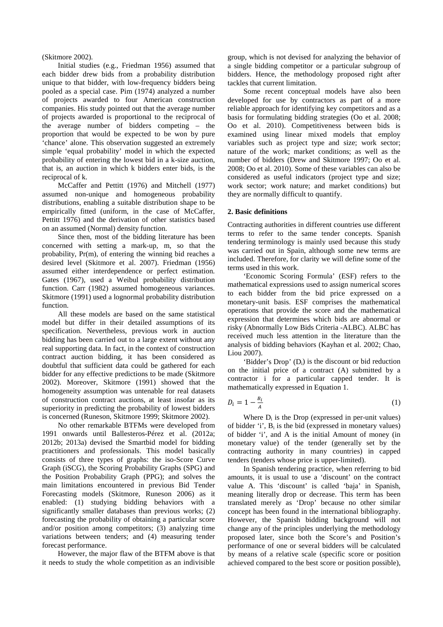(Skitmore 2002).

Initial studies (e.g., Friedman 1956) assumed that each bidder drew bids from a probability distribution unique to that bidder, with low-frequency bidders being pooled as a special case. Pim (1974) analyzed a number of projects awarded to four American construction companies. His study pointed out that the average number of projects awarded is proportional to the reciprocal of the average number of bidders competing – the proportion that would be expected to be won by pure 'chance' alone. This observation suggested an extremely simple 'equal probability' model in which the expected probability of entering the lowest bid in a k-size auction, that is, an auction in which k bidders enter bids, is the reciprocal of k.

McCaffer and Pettitt (1976) and Mitchell (1977) assumed non-unique and homogeneous probability distributions, enabling a suitable distribution shape to be empirically fitted (uniform, in the case of McCaffer, Pettitt 1976) and the derivation of other statistics based on an assumed (Normal) density function.

Since then, most of the bidding literature has been concerned with setting a mark-up, m, so that the probability, Pr(m), of entering the winning bid reaches a desired level (Skitmore et al. 2007). Friedman (1956) assumed either interdependence or perfect estimation. Gates (1967), used a Weibul probability distribution function. Carr (1982) assumed homogeneous variances. Skitmore (1991) used a lognormal probability distribution function.

All these models are based on the same statistical model but differ in their detailed assumptions of its specification. Nevertheless, previous work in auction bidding has been carried out to a large extent without any real supporting data. In fact, in the context of construction contract auction bidding, it has been considered as doubtful that sufficient data could be gathered for each bidder for any effective predictions to be made (Skitmore 2002). Moreover, Skitmore (1991) showed that the homogeneity assumption was untenable for real datasets of construction contract auctions, at least insofar as its superiority in predicting the probability of lowest bidders is concerned (Runeson, Skitmore 1999; Skitmore 2002).

No other remarkable BTFMs were developed from 1991 onwards until Ballesteros-Pérez et al. (2012a; 2012b; 2013a) devised the Smartbid model for bidding practitioners and professionals. This model basically consists of three types of graphs: the iso-Score Curve Graph (iSCG), the Scoring Probability Graphs (SPG) and the Position Probability Graph (PPG); and solves the main limitations encountered in previous Bid Tender Forecasting models (Skitmore, Runeson 2006) as it enabled: (1) studying bidding behaviors with a significantly smaller databases than previous works; (2) forecasting the probability of obtaining a particular score and/or position among competitors; (3) analyzing time variations between tenders; and (4) measuring tender forecast performance.

However, the major flaw of the BTFM above is that it needs to study the whole competition as an indivisible

group, which is not devised for analyzing the behavior of a single bidding competitor or a particular subgroup of bidders. Hence, the methodology proposed right after tackles that current limitation.

Some recent conceptual models have also been developed for use by contractors as part of a more reliable approach for identifying key competitors and as a basis for formulating bidding strategies (Oo et al. 2008; Oo et al. 2010). Competitiveness between bids is examined using linear mixed models that employ variables such as project type and size; work sector; nature of the work; market conditions; as well as the number of bidders (Drew and Skitmore 1997; Oo et al. 2008; Oo et al. 2010). Some of these variables can also be considered as useful indicators (project type and size; work sector; work nature; and market conditions) but they are normally difficult to quantify.

#### **2. Basic definitions**

Contracting authorities in different countries use different terms to refer to the same tender concepts. Spanish tendering terminology is mainly used because this study was carried out in Spain, although some new terms are included. Therefore, for clarity we will define some of the terms used in this work.

'Economic Scoring Formula' (ESF) refers to the mathematical expressions used to assign numerical scores to each bidder from the bid price expressed on a monetary-unit basis. ESF comprises the mathematical operations that provide the score and the mathematical expression that determines which bids are abnormal or risky (Abnormally Low Bids Criteria -ALBC). ALBC has received much less attention in the literature than the analysis of bidding behaviors (Kayhan et al. 2002; Chao, Liou 2007).

'Bidder's Drop'  $(D_i)$  is the discount or bid reduction on the initial price of a contract (A) submitted by a contractor i for a particular capped tender. It is mathematically expressed in Equation 1.

$$
D_i = 1 - \frac{B_i}{A} \tag{1}
$$

Where  $D_i$  is the Drop (expressed in per-unit values) of bidder 'i',  $B_i$  is the bid (expressed in monetary values) of bidder 'i', and A is the initial Amount of money (in monetary value) of the tender (generally set by the contracting authority in many countries) in capped tenders (tenders whose price is upper-limited).

In Spanish tendering practice, when referring to bid amounts, it is usual to use a 'discount' on the contract value A. This 'discount' is called 'baja' in Spanish, meaning literally drop or decrease. This term has been translated merely as 'Drop' because no other similar concept has been found in the international bibliography. However, the Spanish bidding background will not change any of the principles underlying the methodology proposed later, since both the Score's and Position's performance of one or several bidders will be calculated by means of a relative scale (specific score or position achieved compared to the best score or position possible),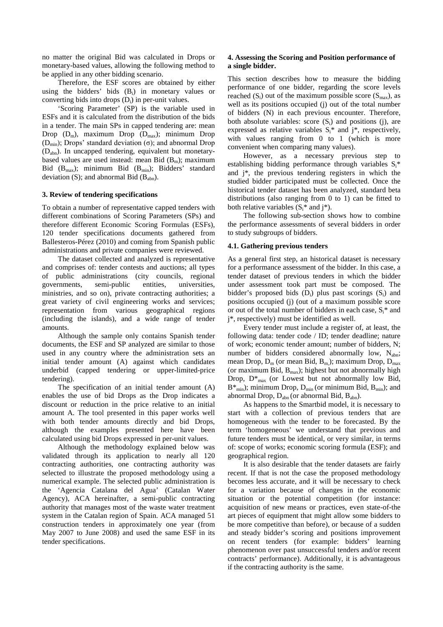no matter the original Bid was calculated in Drops or monetary-based values, allowing the following method to be applied in any other bidding scenario.

Therefore, the ESF scores are obtained by either using the bidders' bids  $(B_i)$  in monetary values or converting bids into drops  $(D_i)$  in per-unit values.

'Scoring Parameter' (SP) is the variable used in ESFs and it is calculated from the distribution of the bids in a tender. The main SPs in capped tendering are: mean Drop  $(D_m)$ , maximum Drop  $(D_{max})$ ; minimum Drop (D<sub>min</sub>); Drops' standard deviation (σ); and abnormal Drop (Dabn). In uncapped tendering, equivalent but monetarybased values are used instead: mean Bid  $(B_m)$ ; maximum Bid  $(B<sub>max</sub>)$ ; minimum Bid  $(B<sub>min</sub>)$ ; Bidders' standard deviation (S); and abnormal Bid  $(B_{abn})$ .

#### **3. Review of tendering specifications**

To obtain a number of representative capped tenders with different combinations of Scoring Parameters (SPs) and therefore different Economic Scoring Formulas (ESFs), 120 tender specifications documents gathered from Ballesteros-Pérez (2010) and coming from Spanish public administrations and private companies were reviewed.

The dataset collected and analyzed is representative and comprises of: tender contests and auctions; all types of public administrations (city councils, regional governments, semi-public entities, universities, ministries, and so on), private contracting authorities; a great variety of civil engineering works and services; representation from various geographical regions (including the islands), and a wide range of tender amounts.

Although the sample only contains Spanish tender documents, the ESF and SP analyzed are similar to those used in any country where the administration sets an initial tender amount (A) against which candidates underbid (capped tendering or upper-limited-price tendering).

The specification of an initial tender amount (A) enables the use of bid Drops as the Drop indicates a discount or reduction in the price relative to an initial amount A. The tool presented in this paper works well with both tender amounts directly and bid Drops, although the examples presented here have been calculated using bid Drops expressed in per-unit values.

Although the methodology explained below was validated through its application to nearly all 120 contracting authorities, one contracting authority was selected to illustrate the proposed methodology using a numerical example. The selected public administration is the 'Agencia Catalana del Agua' (Catalan Water Agency), ACA hereinafter, a semi-public contracting authority that manages most of the waste water treatment system in the Catalan region of Spain. ACA managed 51 construction tenders in approximately one year (from May 2007 to June 2008) and used the same ESF in its tender specifications.

### **4. Assessing the Scoring and Position performance of a single bidder.**

This section describes how to measure the bidding performance of one bidder, regarding the score levels reached  $(S_i)$  out of the maximum possible score  $(S_{\text{max}})$ , as well as its positions occupied (j) out of the total number of bidders (N) in each previous encounter. Therefore, both absolute variables: score  $(S_i)$  and positions (j), are expressed as relative variables  $S_i^*$  and  $j^*$ , respectively, with values ranging from 0 to 1 (which is more convenient when comparing many values).

However, as a necessary previous step to establishing bidding performance through variables  $S_i^*$ and j\*, the previous tendering registers in which the studied bidder participated must be collected. Once the historical tender dataset has been analyzed, standard beta distributions (also ranging from 0 to 1) can be fitted to both relative variables  $(S_i^*$  and  $i^*$ ).

The following sub-section shows how to combine the performance assessments of several bidders in order to study subgroups of bidders.

#### **4.1. Gathering previous tenders**

As a general first step, an historical dataset is necessary for a performance assessment of the bidder. In this case, a tender dataset of previous tenders in which the bidder under assessment took part must be composed. The bidder's proposed bids  $(D_i)$  plus past scorings  $(S_i)$  and positions occupied (j) (out of a maximum possible score or out of the total number of bidders in each case,  $S_i^*$  and j\*, respectively) must be identified as well.

Every tender must include a register of, at least, the following data: tender code / ID; tender deadline; nature of work; economic tender amount; number of bidders, N; number of bidders considered abnormally low,  $N_{abn}$ ; mean Drop,  $D_m$  (or mean Bid,  $B_m$ ); maximum Drop,  $D_{max}$ (or maximum Bid,  $B_{max}$ ); highest but not abnormally high Drop,  $D_{\text{max}}^*$  (or Lowest but not abnormally low Bid,  $B_{\min}^*$ ; minimum Drop, D<sub>min</sub> (or minimum Bid, B<sub>min</sub>); and abnormal Drop,  $D_{abn}$  (or abnormal Bid,  $B_{abn}$ ).

As happens to the Smartbid model, it is necessary to start with a collection of previous tenders that are homogeneous with the tender to be forecasted. By the term 'homogeneous' we understand that previous and future tenders must be identical, or very similar, in terms of: scope of works; economic scoring formula (ESF); and geographical region.

It is also desirable that the tender datasets are fairly recent. If that is not the case the proposed methodology becomes less accurate, and it will be necessary to check for a variation because of changes in the economic situation or the potential competition (for instance: acquisition of new means or practices, even state-of-the art pieces of equipment that might allow some bidders to be more competitive than before), or because of a sudden and steady bidder's scoring and positions improvement on recent tenders (for example: bidders' learning phenomenon over past unsuccessful tenders and/or recent contracts' performance). Additionally, it is advantageous if the contracting authority is the same.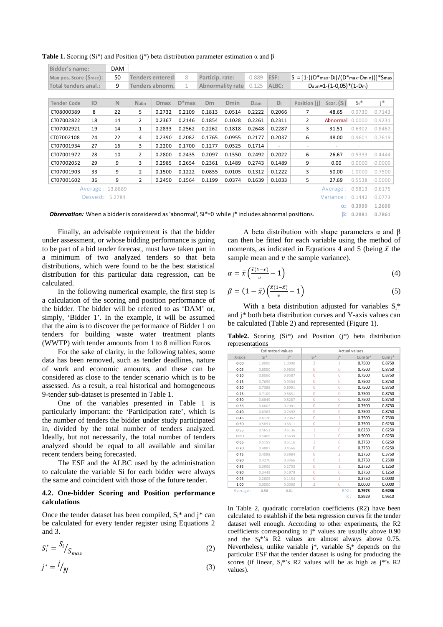| Bidder's name:         |                  | DAM         |                |                  |          |                 |                                                                           |        |                          |                                                      |                    |        |        |
|------------------------|------------------|-------------|----------------|------------------|----------|-----------------|---------------------------------------------------------------------------|--------|--------------------------|------------------------------------------------------|--------------------|--------|--------|
| Max pos. Score (Smax): |                  | 50          |                | Tenders entered: | 8        | Particip. rate: |                                                                           | 0.889  | ESF:                     | $S_i = [1-(D*_{max}-Di)/(D*_{max}-D_{min}))*S_{max}$ |                    |        |        |
| Total tenders anal.:   |                  | 9           |                | Tenders abnorm.  | 1        |                 | <b>Abnormality rate</b>                                                   | 0.125  | ALBC:                    | $D_{abn} = 1-(1-0.05)*(1-Dm)$                        |                    |        |        |
|                        |                  |             |                |                  |          |                 |                                                                           |        |                          |                                                      |                    |        |        |
| <b>Tender Code</b>     | ID               | $\mathbb N$ | <b>Nabn</b>    | <b>Dmax</b>      | $D*$ max | <b>Dm</b>       | Dmin                                                                      | Dabn   | Di                       | Position (j)                                         | Scor. (Si)         | $Si*$  | i*     |
| CT08000389             | 8                | 22          | 5              | 0.2732           | 0.2109   | 0.1813          | 0.0514                                                                    | 0.2222 | 0.2066                   | 7                                                    | 48.65              | 0.9730 | 0.7143 |
| CT07002822             | 18               | 14          | $\overline{2}$ | 0.2367           | 0.2146   | 0.1854          | 0.1028                                                                    | 0.2261 | 0.2311                   | $\overline{2}$                                       | Abnormal 0.0000    |        | 0.9231 |
| CT07002921             | 19               | 14          | $\mathbf{1}$   | 0.2833           | 0.2562   | 0.2262          | 0.1818                                                                    | 0.2648 | 0.2287                   | 3                                                    | 31.51              | 0.6302 | 0.8462 |
| CT07002108             | 24               | 22          | 4              | 0.2390           | 0.2082   | 0.1765          | 0.0955                                                                    | 0.2177 | 0.2037                   | 6                                                    | 48.00              | 0.9601 | 0.7619 |
| CT07001934             | 27               | 16          | 3              | 0.2200           | 0.1700   | 0.1277          | 0.0325                                                                    | 0.1714 | $\overline{\phantom{a}}$ | ٠                                                    | ٠                  |        |        |
| CT07001972             | 28               | 10          | $\overline{2}$ | 0.2800           | 0.2435   | 0.2097          | 0.1550                                                                    | 0.2492 | 0.2022                   | 6                                                    | 26.67              | 0.5333 | 0.4444 |
| CT07002052             | 29               | 9           | 3              | 0.2985           | 0.2654   | 0.2361          | 0.1489                                                                    | 0.2743 | 0.1489                   | 9                                                    | 0.00               | 0.0000 | 0.0000 |
| CT07001903             | 33               | 9           | $\overline{2}$ | 0.1500           | 0.1222   | 0.0855          | 0.0105                                                                    | 0.1312 | 0.1222                   | 3                                                    | 50.00              | 1.0000 | 0.7500 |
| CT07001602             | 36               | 9           | $\overline{2}$ | 0.2450           | 0.1564   | 0.1199          | 0.0374                                                                    | 0.1639 | 0.1033                   | 5                                                    | 27.69              | 0.5538 | 0.5000 |
|                        | Average: 13.8889 |             |                |                  |          |                 |                                                                           |        |                          |                                                      | Average: 0.5813    |        | 0.6175 |
|                        | Desvest: 5.2784  |             |                |                  |          |                 |                                                                           |        |                          |                                                      | Variance: $0.1442$ |        | 0.0773 |
|                        |                  |             |                |                  |          |                 |                                                                           |        |                          |                                                      | $\alpha$ :         | 0.3999 | 1.2690 |
|                        | .                |             |                | .                |          |                 | $\mathbf{11}$ and a set $\mathbf{12}$ and $\mathbf{13}$ and $\mathbf{14}$ |        |                          |                                                      |                    |        |        |

**Table 1.** Scoring (Si<sup>\*</sup>) and Position (i<sup>\*</sup>) beta distribution parameter estimation  $\alpha$  and  $\beta$ 

*Observation:* When a bidder is considered as 'abnormal', Si\*=0 while j\* includes abnormal positions. **β: 0.2881 0.7861**

Finally, an advisable requirement is that the bidder under assessment, or whose bidding performance is going to be part of a bid tender forecast, must have taken part in a minimum of two analyzed tenders so that beta distributions, which were found to be the best statistical distribution for this particular data regression, can be calculated.

In the following numerical example, the first step is a calculation of the scoring and position performance of the bidder. The bidder will be referred to as 'DAM' or, simply, 'Bidder 1'. In the example, it will be assumed that the aim is to discover the performance of Bidder 1 on tenders for building waste water treatment plants (WWTP) with tender amounts from 1 to 8 million Euros.

For the sake of clarity, in the following tables, some data has been removed, such as tender deadlines, nature of work and economic amounts, and these can be considered as close to the tender scenario which is to be assessed. As a result, a real historical and homogeneous 9-tender sub-dataset is presented in Table 1.

One of the variables presented in Table 1 is particularly important: the 'Participation rate', which is the number of tenders the bidder under study participated in, divided by the total number of tenders analyzed. Ideally, but not necessarily, the total number of tenders analyzed should be equal to all available and similar recent tenders being forecasted.

The ESF and the ALBC used by the administration to calculate the variable Si for each bidder were always the same and coincident with those of the future tender.

#### **4.2. One-bidder Scoring and Position performance calculations**

Once the tender dataset has been compiled,  $S_i^*$  and j<sup>\*</sup> can be calculated for every tender register using Equations 2 and 3.

$$
S_i^* = \frac{S_i}{S_{max}} \tag{2}
$$

$$
j^* = \frac{1}{N} \tag{3}
$$

A beta distribution with shape parameters  $\alpha$  and  $\beta$ can then be fitted for each variable using the method of moments, as indicated in Equations 4 and 5 (being  $\bar{x}$  the sample mean and  $\nu$  the sample variance).

$$
\alpha = \bar{x} \left( \frac{\bar{x}(1-\bar{x})}{v} - 1 \right) \tag{4}
$$

$$
\beta = (1 - \bar{x}) \left( \frac{\bar{x}(1-\bar{x})}{v} - 1 \right) \tag{5}
$$

With a beta distribution adjusted for variables  $S_i^*$ and j\* both beta distribution curves and Y-axis values can be calculated (Table 2) and represented (Figure 1).

**Table2.** Scoring (Si\*) and Position (j\*) beta distribution representations

|          |        | <b>Estimated values</b> |                | <b>Actual values</b> |         |        |
|----------|--------|-------------------------|----------------|----------------------|---------|--------|
| X-axis   | $Si*$  | i*i                     | $Si*$          | i*                   | Cum Si* | Cum j* |
| 0.00     | 1.0000 | 1.0000                  | $\overline{2}$ | $\mathbf{1}$         | 0.7500  | 0.8750 |
| 0.05     | 0.8550 | 0.9830                  | $\overline{0}$ | $\Omega$             | 0.7500  | 0.8750 |
| 0.10     | 0.8066 | 0.9587                  | $\overline{0}$ | $\overline{0}$       | 0.7500  | 0.8750 |
| 0.15     | 0.7699 | 0.9304                  | $\overline{0}$ | $\Omega$             | 0.7500  | 0.8750 |
| 0.20     | 0.7388 | 0.8991                  | $\overline{0}$ | $\Omega$             | 0.7500  | 0.8750 |
| 0.25     | 0.7109 | 0.8651                  | $\overline{0}$ | $\Omega$             | 0.7500  | 0.8750 |
| 0.30     | 0.6849 | 0.8287                  | 0              | $\Omega$             | 0.7500  | 0.8750 |
| 0.35     | 0.6602 | 0.7901                  | 0              | $\overline{0}$       | 0.7500  | 0.8750 |
| 0.40     | 0.6362 | 0.7492                  | 0              | $\Omega$             | 0.7500  | 0.8750 |
| 0.45     | 0.6126 | 0.7062                  | 0              | $\mathbf{1}$         | 0.7500  | 0.7500 |
| 0.50     | 0.5891 | 0.6611                  | 0              | $\mathbf{1}$         | 0.7500  | 0.6250 |
| 0.55     | 0.5653 | 0.6136                  | 1              | $\overline{0}$       | 0.6250  | 0.6250 |
| 0.60     | 0.5409 | 0.5639                  | $\mathbf{1}$   | $\Omega$             | 0.5000  | 0.6250 |
| 0.65     | 0.5155 | 0.5116                  | 1              | $\Omega$             | 0.3750  | 0.6250 |
| 0.70     | 0.4887 | 0.4566                  | 0              | $\Omega$             | 0.3750  | 0.6250 |
| 0.75     | 0.4598 | 0.3984                  | 0              | $\overline{2}$       | 0.3750  | 0.3750 |
| 0.80     | 0.4276 | 0.3366                  | 0              | 1                    | 0.3750  | 0.2500 |
| 0.85     | 0.3906 | 0.2703                  | 0              | 1                    | 0.3750  | 0.1250 |
| 0.90     | 0.3449 | 0.1978                  | $\mathbf{0}$   | $\Omega$             | 0.3750  | 0.1250 |
| 0.95     | 0.2805 | 0.1154                  | 0              | 1                    | 0.3750  | 0.0000 |
| 1.00     | 0.0000 | 0.0000                  | 3              | $\mathbf{0}$         | 0.0000  | 0.0000 |
| Average: | 0.58   | 0.61                    |                | $R^2$ :              | 0.7973  | 0.9236 |
|          |        |                         |                | $R$ :                | 0.8929  | 0.9610 |

In Table 2, quadratic correlation coefficients (R2) have been calculated to establish if the beta regression curves fit the tender dataset well enough. According to other experiments, the R2 coefficients corresponding to j\* values are usually above 0.90 and the  $S_i^*$ 's R2 values are almost always above 0.75. Nevertheless, unlike variable  $j^*$ , variable  $S_i^*$  depends on the particular ESF that the tender dataset is using for producing the scores (if linear,  $S_i^*$ 's R2 values will be as high as j\*'s R2 values).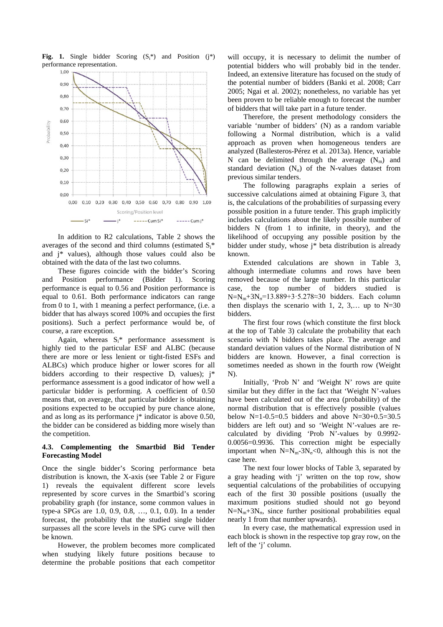

Fig. 1. Single bidder Scoring  $(S<sup>*</sup>)$  and Position (i<sup>\*</sup>) performance representation.

In addition to R2 calculations, Table 2 shows the averages of the second and third columns (estimated  $S_i^*$ and j\* values), although those values could also be obtained with the data of the last two columns.

These figures coincide with the bidder's Scoring and Position performance (Bidder 1). Scoring performance is equal to 0.56 and Position performance is equal to 0.61. Both performance indicators can range from 0 to 1, with 1 meaning a perfect performance, (i.e. a bidder that has always scored 100% and occupies the first positions). Such a perfect performance would be, of course, a rare exception.

Again, whereas  $S_i^*$  performance assessment is highly tied to the particular ESF and ALBC (because there are more or less lenient or tight-fisted ESFs and ALBCs) which produce higher or lower scores for all bidders according to their respective  $D_i$  values);  $i^*$ performance assessment is a good indicator of how well a particular bidder is performing. A coefficient of 0.50 means that, on average, that particular bidder is obtaining positions expected to be occupied by pure chance alone, and as long as its performance j\* indicator is above 0.50, the bidder can be considered as bidding more wisely than the competition.

## **4.3. Complementing the Smartbid Bid Tender Forecasting Model**

Once the single bidder's Scoring performance beta distribution is known, the X-axis (see Table 2 or Figure 1) reveals the equivalent different score levels represented by score curves in the Smartbid's scoring probability graph (for instance, some common values in type-a SPGs are 1.0, 0.9, 0.8, …, 0.1, 0.0). In a tender forecast, the probability that the studied single bidder surpasses all the score levels in the SPG curve will then be known.

However, the problem becomes more complicated when studying likely future positions because to determine the probable positions that each competitor will occupy, it is necessary to delimit the number of potential bidders who will probably bid in the tender. Indeed, an extensive literature has focused on the study of the potential number of bidders (Banki et al. 2008; Carr 2005; Ngai et al. 2002); nonetheless, no variable has yet been proven to be reliable enough to forecast the number of bidders that will take part in a future tender.

Therefore, the present methodology considers the variable 'number of bidders' (N) as a random variable following a Normal distribution, which is a valid approach as proven when homogeneous tenders are analyzed (Ballesteros-Pérez et al. 2013a). Hence, variable N can be delimited through the average  $(N_m)$  and standard deviation  $(N_{\sigma})$  of the N-values dataset from previous similar tenders.

The following paragraphs explain a series of successive calculations aimed at obtaining Figure 3, that is, the calculations of the probabilities of surpassing every possible position in a future tender. This graph implicitly includes calculations about the likely possible number of bidders N (from 1 to infinite, in theory), and the likelihood of occupying any possible position by the bidder under study, whose j\* beta distribution is already known.

Extended calculations are shown in Table 3, although intermediate columns and rows have been removed because of the large number. In this particular case, the top number of bidders studied is N=N<sub>m</sub>+3N<sub>0</sub>=13.889+3·5.278≈30 bidders. Each column then displays the scenario with 1, 2, 3,... up to  $N=30$ bidders.

The first four rows (which constitute the first block at the top of Table 3) calculate the probability that each scenario with N bidders takes place. The average and standard deviation values of the Normal distribution of N bidders are known. However, a final correction is sometimes needed as shown in the fourth row (Weight N).

Initially, 'Prob N' and 'Weight N' rows are quite similar but they differ in the fact that 'Weight N'-values have been calculated out of the area (probability) of the normal distribution that is effectively possible (values below N=1-0.5=0.5 bidders and above N=30+0.5=30.5 bidders are left out) and so 'Weight N'-values are recalculated by dividing 'Prob N'-values by 0.9992- 0.0056=0.9936. This correction might be especially important when  $N=N_m-3N_\sigma<0$ , although this is not the case here.

The next four lower blocks of Table 3, separated by a gray heading with 'j' written on the top row, show sequential calculations of the probabilities of occupying each of the first 30 possible positions (usually the maximum positions studied should not go beyond  $N=N_m+3N_\sigma$ , since further positional probabilities equal nearly 1 from that number upwards).

In every case, the mathematical expression used in each block is shown in the respective top gray row, on the left of the 'j' column.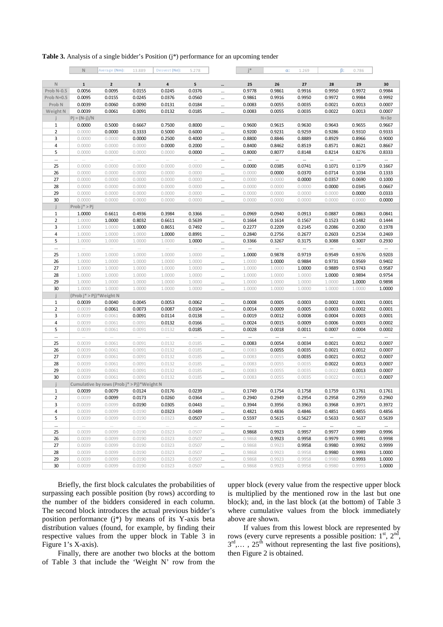**Table 3.** Analysis of a single bidder's Position (j\*) performance for an upcoming tender

|                   | $\mathbb N$             | Average (Nm):                              | 13.889   | Desvest $(N\sigma)$ : | 5.278  |          | i*       | $\alpha$ : | 1.269    | $\beta$ : | 0.786    |             |
|-------------------|-------------------------|--------------------------------------------|----------|-----------------------|--------|----------|----------|------------|----------|-----------|----------|-------------|
| $\mathbb N$       | $\mathbf{1}$            | $\overline{2}$                             | 3        | 4                     | 5      |          | 25       | 26         | 27       | 28        | 29       | 30          |
| Prob N-0.5        | 0.0056                  | 0.0095                                     | 0.0155   | 0.0245                | 0.0376 |          | 0.9778   | 0.9861     | 0.9916   | 0.9950    | 0.9972   | 0.9984      |
| Prob N+0.5        | 0.0095                  | 0.0155                                     | 0.0245   | 0.0376                | 0.0560 |          | 0.9861   | 0.9916     | 0.9950   | 0.9972    | 0.9984   | 0.9992      |
| Prob <sub>N</sub> | 0.0039                  | 0.0060                                     | 0.0090   | 0.0131                | 0.0184 |          | 0.0083   | 0.0055     | 0.0035   | 0.0021    | 0.0013   | 0.0007      |
| Weight N          | 0.0039                  | 0.0061                                     | 0.0091   | 0.0132                | 0.0185 | $\cdots$ | 0.0083   | 0.0055     | 0.0035   | 0.0022    | 0.0013   | 0.0007      |
|                   | $Pj = (N-j)/N$          |                                            |          |                       |        |          |          |            |          |           |          | $N+3\sigma$ |
| $1\,$             | 0.0000                  | 0.5000                                     | 0.6667   | 0.7500                | 0.8000 |          | 0.9600   | 0.9615     | 0.9630   | 0.9643    | 0.9655   | 0.9667      |
| $\overline{2}$    | 0.0000                  | 0.0000                                     | 0.3333   | 0.5000                | 0.6000 |          | 0.9200   | 0.9231     | 0.9259   | 0.9286    | 0.9310   | 0.9333      |
| 3                 | 0.0000                  | 0.0000                                     | 0.0000   | 0.2500                | 0.4000 |          | 0.8800   | 0.8846     | 0.8889   | 0.8929    | 0.8966   | 0.9000      |
| 4                 | 0.0000                  | 0.0000                                     | 0.0000   | 0.0000                | 0.2000 |          | 0.8400   | 0.8462     | 0.8519   | 0.8571    | 0.8621   | 0.8667      |
| 5                 | 0.0000                  | 0.0000                                     | 0.0000   | 0.0000                | 0.0000 |          | 0.8000   | 0.8077     | 0.8148   | 0.8214    | 0.8276   | 0.8333      |
|                   |                         | $\ldots$                                   | $\ldots$ |                       |        |          |          |            |          |           |          |             |
| 25                | 0.0000                  | 0.0000                                     | 0.0000   | 0.0000                | 0.0000 |          | 0.0000   | 0.0385     | 0.0741   | 0.1071    | 0.1379   | 0.1667      |
| 26                | 0.0000                  | 0.0000                                     | 0.0000   | 0.0000                | 0.0000 | $\ldots$ | 0.0000   | 0.0000     | 0.0370   | 0.0714    | 0.1034   | 0.1333      |
| 27                | 0.0000                  | 0.0000                                     | 0.0000   | 0.0000                | 0.0000 | $\cdots$ | 0.0000   | 0.0000     | 0.0000   | 0.0357    | 0.0690   | 0.1000      |
| 28                | 0.0000                  | 0.0000                                     | 0.0000   | 0.0000                | 0.0000 |          | 0.0000   | 0.0000     | 0.0000   | 0.0000    | 0.0345   | 0.0667      |
| 29                | 0.0000                  | 0.0000                                     | 0.0000   | 0.0000                | 0.0000 | $\cdots$ | 0.0000   | 0.0000     | 0.0000   | 0.0000    | 0.0000   | 0.0333      |
| 30                | 0.0000                  | 0.0000                                     | 0.0000   | 0.0000                | 0.0000 | $\cdots$ | 0.0000   | 0.0000     | 0.0000   | 0.0000    | 0.0000   | 0.0000      |
|                   | $Prob j^* > Pj$         |                                            |          |                       |        |          |          |            |          |           |          |             |
| 1                 | 1.0000                  | 0.6611                                     | 0.4936   | 0.3984                | 0.3366 |          | 0.0969   | 0.0940     | 0.0913   | 0.0887    | 0.0863   | 0.0841      |
| $\overline{2}$    | 1.0000                  | 1.0000                                     | 0.8032   | 0.6611                | 0.5639 |          | 0.1664   | 0.1614     | 0.1567   | 0.1523    | 0.1482   | 0.1444      |
| 3                 | 1.0000                  | 1.0000                                     | 1.0000   | 0.8651                | 0.7492 |          | 0.2277   | 0.2209     | 0.2145   | 0.2086    | 0.2030   | 0.1978      |
| $\sqrt{4}$        | 1.0000                  | 1.0000                                     | 1.0000   | 1.0000                | 0.8991 |          | 0.2840   | 0.2756     | 0.2677   | 0.2603    | 0.2534   | 0.2469      |
| 5                 | 1.0000                  | 1.0000                                     | 1.0000   | 1.0000                | 1.0000 |          | 0.3366   | 0.3267     | 0.3175   | 0.3088    | 0.3007   | 0.2930      |
|                   |                         | $\ldots$                                   |          |                       |        |          |          |            |          |           |          |             |
| 25                | 1.0000                  | 1.0000                                     | 1.0000   | 1.0000                | 1.0000 |          | 1.0000   | 0.9878     | 0.9719   | 0.9549    | 0.9376   | 0.9203      |
| 26                | 1.0000                  | 1.0000                                     | 1.0000   | 1.0000                | 1.0000 |          | 1.0000   | 1.0000     | 0.9884   | 0.9731    | 0.9569   | 0.9402      |
| 27                | 1.0000                  | 1.0000                                     | 1.0000   | 1.0000                | 1.0000 |          | 1.0000   | 1.0000     | 1.0000   | 0.9889    | 0.9743   | 0.9587      |
| 28                | 1.0000                  | 1.0000                                     | 1.0000   | 1.0000                | 1.0000 |          | 1.0000   | 1.0000     | 1.0000   | 1.0000    | 0.9894   | 0.9754      |
| 29                | 1.0000                  | 1.0000                                     | 1.0000   | 1.0000                | 1.0000 |          | 1.0000   | 1.0000     | 1.0000   | 1.0000    | 1.0000   | 0.9898      |
| 30                | 1.0000                  | 1.0000                                     | 1.0000   | 1.0000                | 1.0000 |          | 1.0000   | 1.0000     | 1.0000   | 1.0000    | 1.0000   | 1.0000      |
|                   | (Prob j* > Pj)*Weight N |                                            |          |                       |        |          |          |            |          |           |          |             |
| $1\,$             | 0.0039                  | 0.0040                                     | 0.0045   | 0.0053                | 0.0062 |          | 0.0008   | 0.0005     | 0.0003   | 0.0002    | 0.0001   | 0.0001      |
| $\overline{2}$    | 0.0039                  | 0.0061                                     | 0.0073   | 0.0087                | 0.0104 | $\cdots$ | 0.0014   | 0.0009     | 0.0005   | 0.0003    | 0.0002   | 0.0001      |
| 3                 | 0.0039                  | 0.0061                                     | 0.0091   | 0.0114                | 0.0138 |          | 0.0019   | 0.0012     | 0.0008   | 0.0004    | 0.0003   | 0.0001      |
| 4                 | 0.0039                  | 0.0061                                     | 0.0091   | 0.0132                | 0.0166 | $\cdots$ | 0.0024   | 0.0015     | 0.0009   | 0.0006    | 0.0003   | 0.0002      |
| 5                 | 0.0039                  | 0.0061                                     | 0.0091   | 0.0132                | 0.0185 |          | 0.0028   | 0.0018     | 0.0011   | 0.0007    | 0.0004   | 0.0002      |
| $\cdots$          | $\cdots$                | $\ldots$                                   | $\ldots$ | $\cdots$              | $\sim$ |          | $\ldots$ |            | $\cdots$ | $\ldots$  | $\cdots$ | $\cdots$    |
| 25                | 0.0039                  | 0.0061                                     | 0.0091   | 0.0132                | 0.0185 |          | 0.0083   | 0.0054     | 0.0034   | 0.0021    | 0.0012   | 0.0007      |
| 26                | 0.0039                  | 0.0061                                     | 0.0091   | 0.0132                | 0.0185 |          | 0.0083   | 0.0055     | 0.0035   | 0.0021    | 0.0012   | 0.0007      |
| 27                | 0.0039                  | 0.0061                                     | 0.0091   | 0.0132                | 0.0185 |          | 0.0083   | 0.0055     | 0.0035   | 0.0021    | 0.0012   | 0.0007      |
| 28                | 0.0039                  | 0.0061                                     | 0.0091   | 0.0132                | 0.0185 |          | 0.0083   | 0.0055     | 0.0035   | 0.0022    | 0.0013   | 0.0007      |
| 29                | 0.0039                  | 0.0061                                     | 0.0091   | 0.0132                | 0.0185 |          | 0.0083   | 0.0055     | 0.0035   | 0.0022    | 0.0013   | 0.0007      |
| 30                | 0.0039                  | 0.0061                                     | 0.0091   | 0.0132                | 0.0185 |          | 0.0083   | 0.0055     | 0.0035   | 0.0022    | 0.0013   | 0.0007      |
|                   |                         | Cumulative by rows (Prob j* > Pj)*Weight N |          |                       |        |          |          |            |          |           |          |             |
| 1                 | 0.0039                  | 0.0079                                     | 0.0124   | 0.0176                | 0.0239 |          | 0.1749   | 0.1754     | 0.1758   | 0.1759    | 0.1761   | 0.1761      |
| $\overline{2}$    | 0.0039                  | 0.0099                                     | 0.0173   | 0.0260                | 0.0364 |          | 0.2940   | 0.2949     | 0.2954   | 0.2958    | 0.2959   | 0.2960      |
| 3                 | 0.0039                  | 0.0099                                     | 0.0190   | 0.0305                | 0.0443 |          | 0.3944   | 0.3956     | 0.3963   | 0.3968    | 0.3971   | 0.3972      |
| 4                 | 0.0039                  | 0.0099                                     | 0.0190   | 0.0323                | 0.0489 |          | 0.4821   | 0.4836     | 0.4846   | 0.4851    | 0.4855   | 0.4856      |
| 5                 | 0.0039                  | 0.0099                                     | 0.0190   | 0.0323                | 0.0507 |          | 0.5597   | 0.5615     | 0.5627   | 0.5633    | 0.5637   | 0.5639      |
| $\cdots$          | $\sim$                  | $\sim$                                     | $\sim$   | $\sim$                | $\sim$ | $\cdots$ | $\cdots$ | $\cdots$   | $\ldots$ | $\ldots$  | $\ldots$ | $\cdots$    |
| 25                | 0.0039                  | 0.0099                                     | 0.0190   | 0.0323                | 0.0507 | $\cdots$ | 0.9868   | 0.9923     | 0.9957   | 0.9977    | 0.9989   | 0.9996      |
| 26                | 0.0039                  | 0.0099                                     | 0.0190   | 0.0323                | 0.0507 |          | 0.9868   | 0.9923     | 0.9958   | 0.9979    | 0.9991   | 0.9998      |
| 27                | 0.0039                  | 0.0099                                     | 0.0190   | 0.0323                | 0.0507 | $\cdots$ | 0.9868   | 0.9923     | 0.9958   | 0.9980    | 0.9992   | 0.9999      |
| 28                | 0.0039                  | 0.0099                                     | 0.0190   | 0.0323                | 0.0507 |          | 0.9868   | 0.9923     | 0.9958   | 0.9980    | 0.9993   | 1.0000      |
| 29                | 0.0039                  | 0.0099                                     | 0.0190   | 0.0323                | 0.0507 |          | 0.9868   | 0.9923     | 0.9958   | 0.9980    | 0.9993   | 1.0000      |
| 30                | 0.0039                  | 0.0099                                     | 0.0190   | 0.0323                | 0.0507 |          | 0.9868   | 0.9923     | 0.9958   | 0.9980    | 0.9993   | 1.0000      |
|                   |                         |                                            |          |                       |        |          |          |            |          |           |          |             |

Briefly, the first block calculates the probabilities of surpassing each possible position (by rows) according to the number of the bidders considered in each column. The second block introduces the actual previous bidder's position performance (j\*) by means of its Y-axis beta distribution values (found, for example, by finding their respective values from the upper block in Table 3 in Figure 1's X-axis).

Finally, there are another two blocks at the bottom of Table 3 that include the 'Weight N' row from the

upper block (every value from the respective upper block is multiplied by the mentioned row in the last but one block); and, in the last block (at the bottom) of Table 3 where cumulative values from the block immediately above are shown.

If values from this lowest block are represented by rows (every curve represents a possible position:  $1<sup>st</sup>$ ,  $2<sup>nd</sup>$ ,  $3^{\text{rd}}$ ,...,  $25^{\text{th}}$  without representing the last five positions), then Figure 2 is obtained.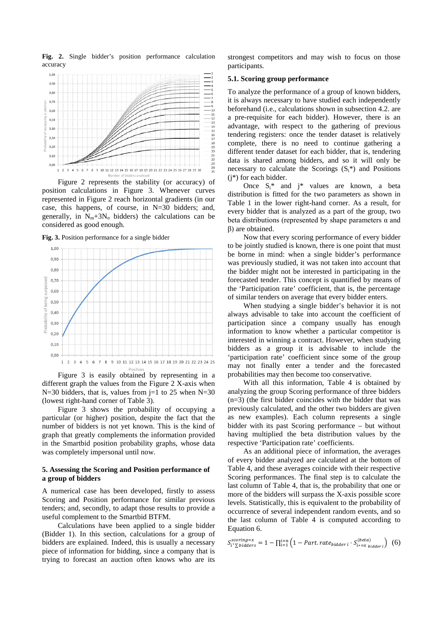**Fig. 2.** Single bidder's position performance calculation accuracy



Figure 2 represents the stability (or accuracy) of position calculations in Figure 3. Whenever curves represented in Figure 2 reach horizontal gradients (in our case, this happens, of course, in N=30 bidders; and, generally, in  $N_m+3N_\sigma$  bidders) the calculations can be considered as good enough.

**Fig. 3.** Position performance for a single bidder



Figure 3 is easily obtained by representing in a different graph the values from the Figure 2 X-axis when N=30 bidders, that is, values from  $j=1$  to 25 when N=30 (lowest right-hand corner of Table 3).

Figure 3 shows the probability of occupying a particular (or higher) position, despite the fact that the number of bidders is not yet known. This is the kind of graph that greatly complements the information provided in the Smartbid position probability graphs, whose data was completely impersonal until now.

### **5. Assessing the Scoring and Position performance of a group of bidders**

A numerical case has been developed, firstly to assess Scoring and Position performance for similar previous tenders; and, secondly, to adapt those results to provide a useful complement to the Smartbid BTFM.

Calculations have been applied to a single bidder (Bidder 1). In this section, calculations for a group of bidders are explained. Indeed, this is usually a necessary piece of information for bidding, since a company that is trying to forecast an auction often knows who are its

strongest competitors and may wish to focus on those participants.

#### **5.1. Scoring group performance**

To analyze the performance of a group of known bidders, it is always necessary to have studied each independently beforehand (i.e., calculations shown in subsection 4.2. are a pre-requisite for each bidder). However, there is an advantage, with respect to the gathering of previous tendering registers: once the tender dataset is relatively complete, there is no need to continue gathering a different tender dataset for each bidder, that is, tendering data is shared among bidders, and so it will only be necessary to calculate the Scorings  $(S_i^*)$  and Positions (j\*) for each bidder.

Once  $S_i^*$  and  $i^*$  values are known, a beta distribution is fitted for the two parameters as shown in Table 1 in the lower right-hand corner. As a result, for every bidder that is analyzed as a part of the group, two beta distributions (represented by shape parameters  $\alpha$  and β) are obtained.

Now that every scoring performance of every bidder to be jointly studied is known, there is one point that must be borne in mind: when a single bidder's performance was previously studied, it was not taken into account that the bidder might not be interested in participating in the forecasted tender. This concept is quantified by means of the 'Participation rate' coefficient, that is, the percentage of similar tenders on average that every bidder enters.

When studying a single bidder's behavior it is not always advisable to take into account the coefficient of participation since a company usually has enough information to know whether a particular competitor is interested in winning a contract. However, when studying bidders as a group it is advisable to include the 'participation rate' coefficient since some of the group may not finally enter a tender and the forecasted probabilities may then become too conservative.

With all this information, Table 4 is obtained by analyzing the group Scoring performance of three bidders (n=3) (the first bidder coincides with the bidder that was previously calculated, and the other two bidders are given as new examples). Each column represents a single bidder with its past Scoring performance – but without having multiplied the beta distribution values by the respective 'Participation rate' coefficients.

As an additional piece of information, the averages of every bidder analyzed are calculated at the bottom of Table 4, and these averages coincide with their respective Scoring performances. The final step is to calculate the last column of Table 4, that is, the probability that one or more of the bidders will surpass the X-axis possible score levels. Statistically, this is equivalent to the probability of occurrence of several independent random events, and so the last column of Table 4 is computed according to Equation 6.

$$
S_{i^*\sum\text{bidders}}^{scoring=x} = 1 - \prod_{i=1}^{i=n} \left( 1 - Part. rate_{\text{bidders } i} \cdot S_{i^*=x_{\text{bidders } i}}^{(\text{beta})}\right) \tag{6}
$$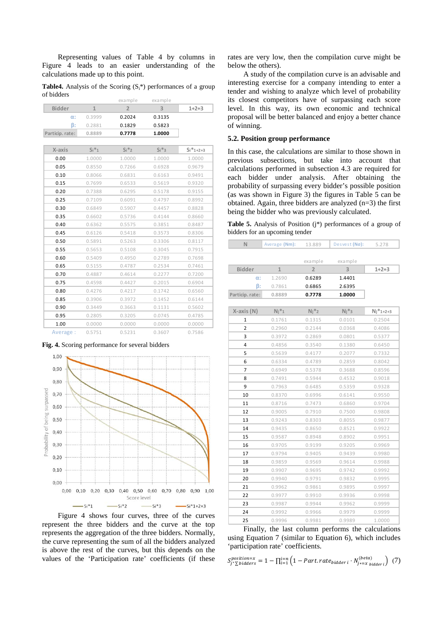Representing values of Table 4 by columns in Figure 4 leads to an easier understanding of the calculations made up to this point.

**Table4.** Analysis of the Scoring  $(S_i^*)$  performances of a group of bidders

|                |              | example        | example |               |
|----------------|--------------|----------------|---------|---------------|
| <b>Bidder</b>  | $\mathbf{1}$ | $\overline{2}$ | 3       | $1+2+3$       |
| $\alpha$ :     | 0.3999       | 0.2024         | 0.3135  |               |
| $\beta$ :      | 0.2881       | 0.1829         | 0.5823  |               |
| Particip.rate: | 0.8889       | 0.7778         | 1.0000  |               |
|                |              |                |         |               |
| X-axis         | $Si*1$       | $Si*2$         | $Si*3$  | $Si*_{1+2+3}$ |
| 0.00           | 1.0000       | 1.0000         | 1.0000  | 1.0000        |
| 0.05           | 0.8550       | 0.7266         | 0.6928  | 0.9679        |
| 0.10           | 0.8066       | 0.6831         | 0.6163  | 0.9491        |
| 0.15           | 0.7699       | 0.6533         | 0.5619  | 0.9320        |
| 0.20           | 0.7388       | 0.6295         | 0.5178  | 0.9155        |
| 0.25           | 0.7109       | 0.6091         | 0.4797  | 0.8992        |
| 0.30           | 0.6849       | 0.5907         | 0.4457  | 0.8828        |
| 0.35           | 0.6602       | 0.5736         | 0.4144  | 0.8660        |
| 0.40           | 0.6362       | 0.5575         | 0.3851  | 0.8487        |
| 0.45           | 0.6126       | 0.5418         | 0.3573  | 0.8306        |
| 0.50           | 0.5891       | 0.5263         | 0.3306  | 0.8117        |
| 0.55           | 0.5653       | 0.5108         | 0.3045  | 0.7915        |
| 0.60           | 0.5409       | 0.4950         | 0.2789  | 0.7698        |
| 0.65           | 0.5155       | 0.4787         | 0.2534  | 0.7461        |
| 0.70           | 0.4887       | 0.4614         | 0.2277  | 0.7200        |
| 0.75           | 0.4598       | 0.4427         | 0.2015  | 0.6904        |
| 0.80           | 0.4276       | 0.4217         | 0.1742  | 0.6560        |
| 0.85           | 0.3906       | 0.3972         | 0.1452  | 0.6144        |
| 0.90           | 0.3449       | 0.3663         | 0.1131  | 0.5602        |
| 0.95           | 0.2805       | 0.3205         | 0.0745  | 0.4785        |
| 1.00           | 0.0000       | 0.0000         | 0.0000  | 0.0000        |
| Average:       | 0.5751       | 0.5231         | 0.3607  | 0.7586        |





Figure 4 shows four curves, three of the curves represent the three bidders and the curve at the top represents the aggregation of the three bidders. Normally, the curve representing the sum of all the bidders analyzed is above the rest of the curves, but this depends on the values of the 'Participation rate' coefficients (if these

rates are very low, then the compilation curve might be below the others).

A study of the compilation curve is an advisable and interesting exercise for a company intending to enter a tender and wishing to analyze which level of probability its closest competitors have of surpassing each score level. In this way, its own economic and technical proposal will be better balanced and enjoy a better chance of winning.

## **5.2. Position group performance**

In this case, the calculations are similar to those shown in previous subsections, but take into account that calculations performed in subsection 4.3 are required for each bidder under analysis. After obtaining the probability of surpassing every bidder's possible position (as was shown in Figure 3) the figures in Table 5 can be obtained. Again, three bidders are analyzed (n=3) the first being the bidder who was previously calculated.

**Table 5.** Analysis of Position (j\*) performances of a group of bidders for an upcoming tender

| example<br><b>Bidder</b><br>$\mathbf{1}$<br>$\overline{2}$<br>1.2690<br>$\alpha$ :<br>0.6289 | example<br>3<br>$1+2+3$<br>1.4401<br>2.6395<br>1.0000 |  |
|----------------------------------------------------------------------------------------------|-------------------------------------------------------|--|
|                                                                                              |                                                       |  |
|                                                                                              |                                                       |  |
|                                                                                              |                                                       |  |
|                                                                                              |                                                       |  |
| ß:<br>0.7861<br>0.6865                                                                       |                                                       |  |
| Particip. rate:<br>0.7778<br>0.8889                                                          |                                                       |  |
|                                                                                              |                                                       |  |
| $Ni*1$<br>$Ni*2$<br>X-axis (N)                                                               | $Ni*3$<br>$Ni*1+2+3$                                  |  |
| 1<br>0.1761<br>0.1315                                                                        | 0.2504<br>0.0101                                      |  |
| 2<br>0.2960<br>0.2144                                                                        | 0.0368<br>0.4086                                      |  |
| 3<br>0.3972<br>0.2869                                                                        | 0.0801<br>0.5377                                      |  |
| 4<br>0.4856<br>0.3540                                                                        | 0.1380<br>0.6450                                      |  |
| 5<br>0.5639<br>0.4177                                                                        | 0.2077<br>0.7332                                      |  |
| 6<br>0.6334<br>0.4789                                                                        | 0.2859<br>0.8042                                      |  |
| 7<br>0.6949<br>0.5378                                                                        | 0.3688<br>0.8596                                      |  |
| 8<br>0.7491<br>0.5944                                                                        | 0.4532<br>0.9018                                      |  |
| 9<br>0.7963<br>0.6485                                                                        | 0.5359<br>0.9328                                      |  |
| 10<br>0.6996<br>0.8370                                                                       | 0.9550<br>0.6141                                      |  |
| 11<br>0.8716<br>0.7473                                                                       | 0.6860<br>0.9704                                      |  |
| 12<br>0.9005<br>0.7910                                                                       | 0.7500<br>0.9808                                      |  |
| 13<br>0.9243<br>0.8303                                                                       | 0.8055<br>0.9877                                      |  |
| 14<br>0.9435<br>0.8650                                                                       | 0.8521<br>0.9922                                      |  |
| 15<br>0.9587<br>0.8948                                                                       | 0.8902<br>0.9951                                      |  |
| 16<br>0.9705<br>0.9199                                                                       | 0.9205<br>0.9969                                      |  |
| 17<br>0.9794<br>0.9405                                                                       | 0.9439<br>0.9980                                      |  |
| 18<br>0.9859<br>0.9569                                                                       | 0.9614<br>0.9988                                      |  |
| 19<br>0.9907<br>0.9695                                                                       | 0.9742<br>0.9992                                      |  |
| 20<br>0.9940<br>0.9791                                                                       | 0.9832<br>0.9995                                      |  |
| 21<br>0.9962<br>0.9861                                                                       | 0.9895<br>0.9997                                      |  |
| 22<br>0.9977<br>0.9910                                                                       | 0.9936<br>0.9998                                      |  |
| 23<br>0.9987<br>0.9944                                                                       | 0.9962<br>0.9999                                      |  |
| 24<br>0.9992<br>0.9966                                                                       | 0.9979<br>0.9999                                      |  |
| 25<br>0.9996<br>0.9981                                                                       | 0.9989<br>1.0000                                      |  |

Finally, the last column performs the calculations using Equation 7 (similar to Equation 6), which includes 'participation rate' coefficients.

$$
S_{j^* \sum \text{bidders}}^{position=x} = 1 - \prod_{i=1}^{i=n} \left( 1 - Part. rate_{\text{bidders } i} \cdot N_{j^* = x_{\text{bidders } i}}^{(\text{beta})} \right) (7)
$$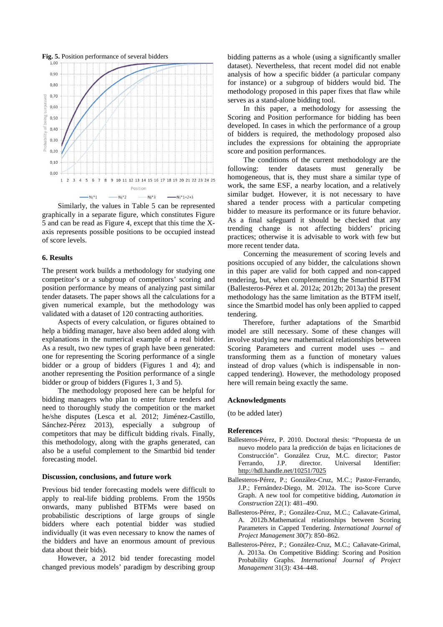

Similarly, the values in Table 5 can be represented graphically in a separate figure, which constitutes Figure 5 and can be read as Figure 4, except that this time the Xaxis represents possible positions to be occupied instead of score levels.

### **6. Results**

The present work builds a methodology for studying one competitor's or a subgroup of competitors' scoring and position performance by means of analyzing past similar tender datasets. The paper shows all the calculations for a given numerical example, but the methodology was validated with a dataset of 120 contracting authorities.

Aspects of every calculation, or figures obtained to help a bidding manager, have also been added along with explanations in the numerical example of a real bidder. As a result, two new types of graph have been generated: one for representing the Scoring performance of a single bidder or a group of bidders (Figures 1 and 4); and another representing the Position performance of a single bidder or group of bidders (Figures 1, 3 and 5).

The methodology proposed here can be helpful for bidding managers who plan to enter future tenders and need to thoroughly study the competition or the market he/she disputes (Lesca et al. 2012; Jiménez-Castillo, Sánchez-Pérez 2013), especially a subgroup of competitors that may be difficult bidding rivals. Finally, this methodology, along with the graphs generated, can also be a useful complement to the Smartbid bid tender forecasting model.

#### **Discussion, conclusions, and future work**

Previous bid tender forecasting models were difficult to apply to real-life bidding problems. From the 1950s onwards, many published BTFMs were based on probabilistic descriptions of large groups of single bidders where each potential bidder was studied individually (it was even necessary to know the names of the bidders and have an enormous amount of previous data about their bids).

However, a 2012 bid tender forecasting model changed previous models' paradigm by describing group bidding patterns as a whole (using a significantly smaller dataset). Nevertheless, that recent model did not enable analysis of how a specific bidder (a particular company for instance) or a subgroup of bidders would bid. The methodology proposed in this paper fixes that flaw while serves as a stand-alone bidding tool.

In this paper, a methodology for assessing the Scoring and Position performance for bidding has been developed. In cases in which the performance of a group of bidders is required, the methodology proposed also includes the expressions for obtaining the appropriate score and position performances.

The conditions of the current methodology are the following: tender datasets must generally be homogeneous, that is, they must share a similar type of work, the same ESF, a nearby location, and a relatively similar budget. However, it is not necessary to have shared a tender process with a particular competing bidder to measure its performance or its future behavior. As a final safeguard it should be checked that any trending change is not affecting bidders' pricing practices; otherwise it is advisable to work with few but more recent tender data.

Concerning the measurement of scoring levels and positions occupied of any bidder, the calculations shown in this paper are valid for both capped and non-capped tendering, but, when complementing the Smartbid BTFM (Ballesteros-Pérez et al. 2012a; 2012b; 2013a) the present methodology has the same limitation as the BTFM itself, since the Smartbid model has only been applied to capped tendering.

Therefore, further adaptations of the Smartbid model are still necessary. Some of these changes will involve studying new mathematical relationships between Scoring Parameters and current model uses – and transforming them as a function of monetary values instead of drop values (which is indispensable in noncapped tendering). However, the methodology proposed here will remain being exactly the same.

#### **Acknowledgments**

(to be added later)

#### **References**

- Ballesteros-Pérez, P. 2010. Doctoral thesis: "Propuesta de un nuevo modelo para la predicción de bajas en licitaciones de Construcción". González Cruz, M.C. director; Pastor Ferrando, J.P. director. Universal Identifier: <http://hdl.handle.net/10251/7025>
- Ballesteros-Pérez, P.; González-Cruz, M.C.; Pastor-Ferrando, J.P.; Fernández-Diego, M. 2012a. The iso-Score Curve Graph. A new tool for competitive bidding, *Automation in Construction* 22(1): 481–490.
- Ballesteros-Pérez, P.; González-Cruz, M.C.; Cañavate-Grimal, A. 2012b.Mathematical relationships between Scoring Parameters in Capped Tendering. *International Journal of Project Management* 30(7): 850–862.
- Ballesteros-Pérez, P.; González-Cruz, M.C.; Cañavate-Grimal, A. 2013a. On Competitive Bidding: Scoring and Position Probability Graphs. *International Journal of Project Management* 31(3): 434–448.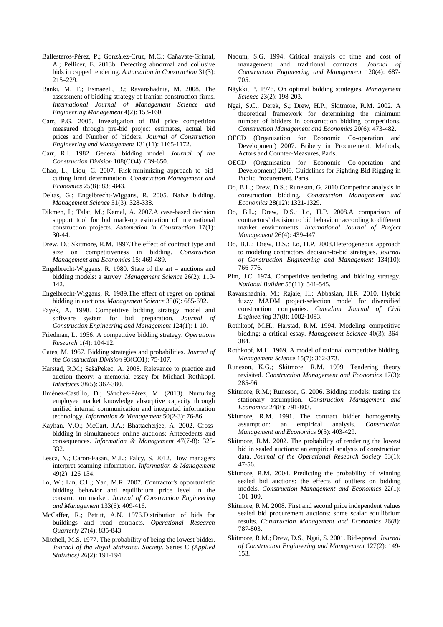- Ballesteros-Pérez, P.; González-Cruz, M.C.; Cañavate-Grimal, A.; Pellicer, E. 2013b. Detecting abnormal and collusive bids in capped tendering. *Automation in Construction* 31(3): 215–229.
- Banki, M. T.; Esmaeeli, B.; Ravanshadnia, M. 2008. The assessment of bidding strategy of Iranian construction firms. *International Journal of Management Science and Engineering Management* 4(2): 153-160.
- Carr, P.G. 2005. Investigation of Bid price competition measured through pre-bid project estimates, actual bid prices and Number of bidders. *Journal of Construction Engineering and Management* 131(11): 1165-1172.
- Carr, R.I. 1982. General bidding model. *Journal of the Construction Division* 108(CO4): 639-650.
- Chao, L.; Liou, C. 2007. Risk-minimizing approach to bidcutting limit determination. *Construction Management and Economics* 25(8): 835-843.
- Deltas, G.; Engelbrecht-Wiggans, R. 2005. Naive bidding. *Management Science* 51(3): 328-338.
- Dikmen, I.; Talat, M.; Kemal, A. 2007.A case-based decision support tool for bid mark-up estimation of international construction projects. *Automation in Construction* 17(1): 30-44.
- Drew, D.; Skitmore, R.M. 1997.The effect of contract type and size on competitiveness in bidding. *Construction Management and Economics* 15: 469-489.
- Engelbrecht-Wiggans, R. 1980. State of the art auctions and bidding models: a survey. *Management Science* 26(2): 119- 142.
- Engelbrecht-Wiggans, R. 1989.The effect of regret on optimal bidding in auctions. *Management Science* 35(6): 685-692.
- Fayek, A. 1998. Competitive bidding strategy model and software system for bid preparation. *Journal of Construction Engineering and Management* 124(1): 1-10.
- Friedman, L. 1956. A competitive bidding strategy. *Operations Research* 1(4): 104-12.
- Gates, M. 1967. Bidding strategies and probabilities. *Journal of the Construction Division* 93(CO1): 75-107.
- Harstad, R.M.; SašaPekec, A. 2008. Relevance to practice and auction theory: a memorial essay for Michael Rothkopf. *Interfaces* 38(5): 367-380.
- Jiménez-Castillo, D.; Sánchez-Pérez, M. (2013). Nurturing employee market knowledge absorptive capacity through unified internal communication and integrated information technology. *Information & Management* 50(2-3): 76-86.
- Kayhan, V.O.; McCart, J.A.; Bhattacherjee, A. 2002. Crossbidding in simultaneous online auctions: Antecedents and consequences. *Information & Management* 47(7-8): 325- 332.
- Lesca, N.; Caron-Fasan, M.L.; Falcy, S. 2012. How managers interpret scanning information. *Information & Management* 49(2): 126-134.
- Lo, W.; Lin, C.L.; Yan, M.R. 2007. Contractor's opportunistic bidding behavior and equilibrium price level in the construction market. *Journal of Construction Engineering and Management* 133(6): 409-416.
- McCaffer, R.; Pettitt, A.N. 1976.Distribution of bids for buildings and road contracts. *Operational Research Quarterly* 27(4): 835-843.
- Mitchell, M.S. 1977. The probability of being the lowest bidder. *Journal of the Royal Statistical Society*. Series C *(Applied Statistics)* 26(2): 191-194.
- Naoum, S.G. 1994. Critical analysis of time and cost of management and traditional contracts. *Journal of Construction Engineering and Management* 120(4): 687- 705.
- Näykki, P. 1976. On optimal bidding strategies. *Management Science* 23(2): 198-203.
- Ngai, S.C.; Derek, S.; Drew, H.P.; Skitmore, R.M. 2002. A theoretical framework for determining the minimum number of bidders in construction bidding competitions. *Construction Management and Economics* 20(6): 473-482.
- OECD (Organisation for Economic Co-operation and Development) 2007. Bribery in Procurement, Methods, Actors and Counter-Measures, Paris.
- OECD (Organisation for Economic Co-operation and Development) 2009. Guidelines for Fighting Bid Rigging in Public Procurement, Paris.
- Oo, B.L.; Drew, D.S.; Runeson, G. 2010.Competitor analysis in construction bidding. *Construction Management and Economics* 28(12): 1321-1329.
- Oo, B.L.; Drew, D.S.; Lo, H.P. 2008.A comparison of contractors' decision to bid behaviour according to different market environments. *International Journal of Project Management* 26(4): 439-447.
- Oo, B.L.; Drew, D.S.; Lo, H.P. 2008.Heterogeneous approach to modeling contractors' decision-to-bid strategies. *Journal of Construction Engineering and Management* 134(10): 766-776.
- Pim, J.C. 1974. Competitive tendering and bidding strategy. *National Builder* 55(11): 541-545.
- Ravanshadnia, M.; Rajaie, H.; Abbasian, H.R. 2010. Hybrid fuzzy MADM project-selection model for diversified construction companies. *Canadian Journal of Civil Engineering* 37(8): 1082-1093.
- Rothkopf, M.H.; Harstad, R.M. 1994. Modeling competitive bidding: a critical essay. *Management Science* 40(3): 364- 384.
- Rothkopf, M.H. 1969. A model of rational competitive bidding. *Management Science* 15(7): 362-373.
- Runeson, K.G.; Skitmore, R.M. 1999. Tendering theory revisited. *Construction Management and Economics* 17(3): 285-96.
- Skitmore, R.M.; Runeson, G. 2006. Bidding models: testing the stationary assumption. *Construction Management and Economics* 24(8): 791-803.
- Skitmore, R.M. 1991. The contract bidder homogeneity assumption: an empirical analysis. *Construction Management and Economics* 9(5): 403-429.
- Skitmore, R.M. 2002. The probability of tendering the lowest bid in sealed auctions: an empirical analysis of construction data. *Journal of the Operational Research Society* 53(1): 47-56.
- Skitmore, R.M. 2004. Predicting the probability of winning sealed bid auctions: the effects of outliers on bidding models. *Construction Management and Economics* 22(1): 101-109.
- Skitmore, R.M. 2008. First and second price independent values sealed bid procurement auctions: some scalar equilibrium results. *Construction Management and Economics* 26(8): 787-803.
- Skitmore, R.M.; Drew, D.S.; Ngai, S. 2001. Bid-spread. *Journal of Construction Engineering and Management* 127(2): 149- 153.